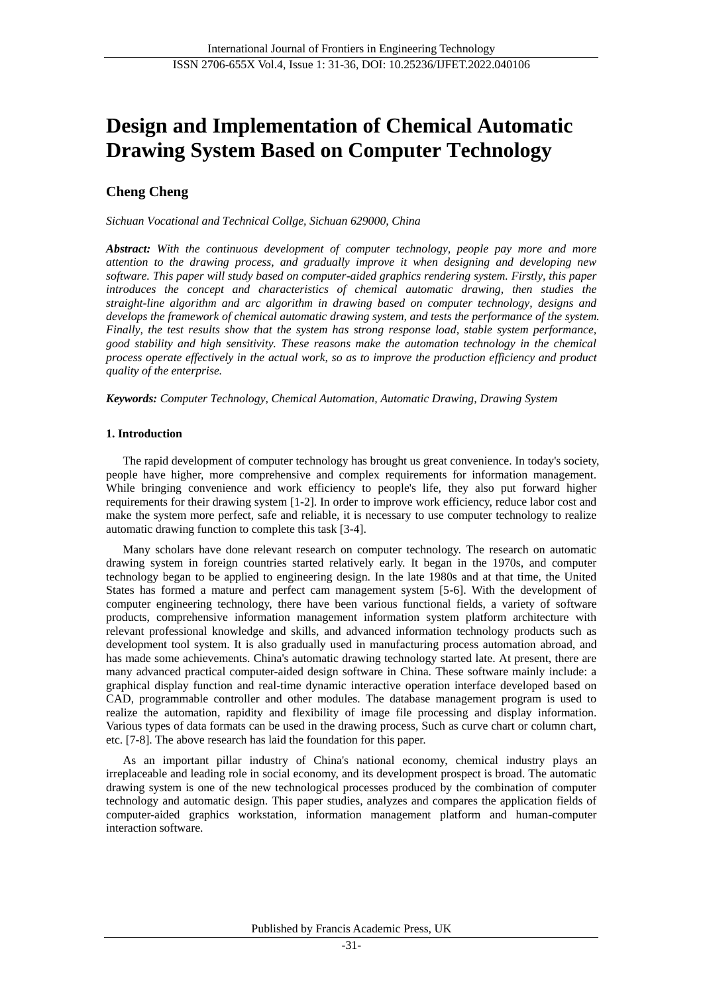# **Design and Implementation of Chemical Automatic Drawing System Based on Computer Technology**

# **Cheng Cheng**

*Sichuan Vocational and Technical Collge, Sichuan 629000, China*

*Abstract: With the continuous development of computer technology, people pay more and more attention to the drawing process, and gradually improve it when designing and developing new software. This paper will study based on computer-aided graphics rendering system. Firstly, this paper introduces the concept and characteristics of chemical automatic drawing, then studies the straight-line algorithm and arc algorithm in drawing based on computer technology, designs and develops the framework of chemical automatic drawing system, and tests the performance of the system. Finally, the test results show that the system has strong response load, stable system performance, good stability and high sensitivity. These reasons make the automation technology in the chemical process operate effectively in the actual work, so as to improve the production efficiency and product quality of the enterprise.*

*Keywords: Computer Technology, Chemical Automation, Automatic Drawing, Drawing System*

## **1. Introduction**

The rapid development of computer technology has brought us great convenience. In today's society, people have higher, more comprehensive and complex requirements for information management. While bringing convenience and work efficiency to people's life, they also put forward higher requirements for their drawing system [1-2]. In order to improve work efficiency, reduce labor cost and make the system more perfect, safe and reliable, it is necessary to use computer technology to realize automatic drawing function to complete this task [3-4].

Many scholars have done relevant research on computer technology. The research on automatic drawing system in foreign countries started relatively early. It began in the 1970s, and computer technology began to be applied to engineering design. In the late 1980s and at that time, the United States has formed a mature and perfect cam management system [5-6]. With the development of computer engineering technology, there have been various functional fields, a variety of software products, comprehensive information management information system platform architecture with relevant professional knowledge and skills, and advanced information technology products such as development tool system. It is also gradually used in manufacturing process automation abroad, and has made some achievements. China's automatic drawing technology started late. At present, there are many advanced practical computer-aided design software in China. These software mainly include: a graphical display function and real-time dynamic interactive operation interface developed based on CAD, programmable controller and other modules. The database management program is used to realize the automation, rapidity and flexibility of image file processing and display information. Various types of data formats can be used in the drawing process, Such as curve chart or column chart, etc. [7-8]. The above research has laid the foundation for this paper.

As an important pillar industry of China's national economy, chemical industry plays an irreplaceable and leading role in social economy, and its development prospect is broad. The automatic drawing system is one of the new technological processes produced by the combination of computer technology and automatic design. This paper studies, analyzes and compares the application fields of computer-aided graphics workstation, information management platform and human-computer interaction software.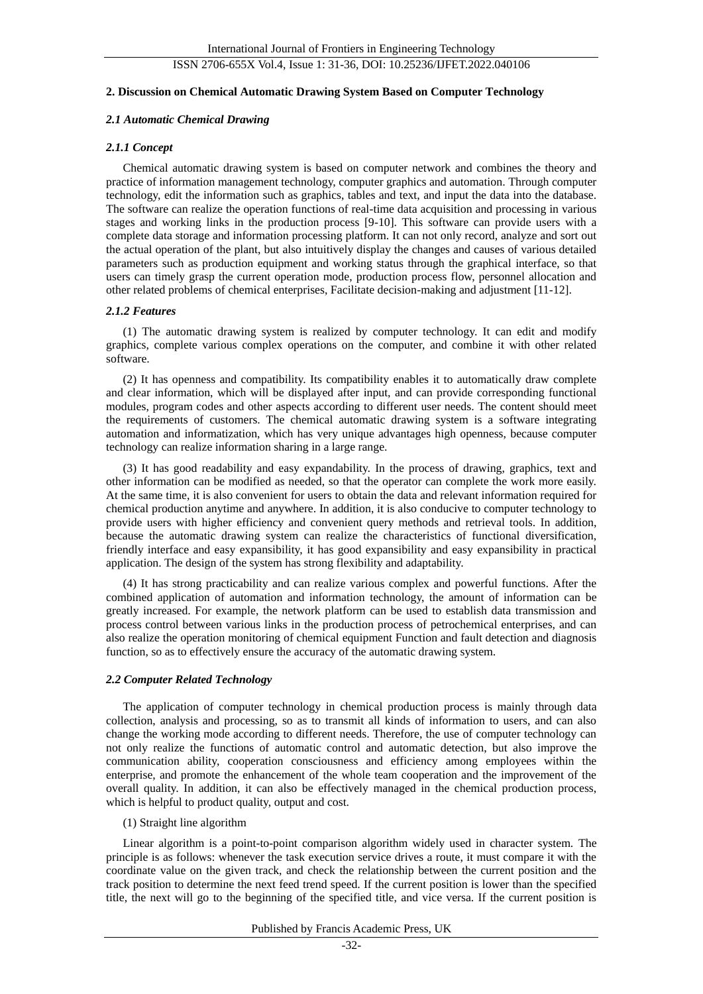## ISSN 2706-655X Vol.4, Issue 1: 31-36, DOI: 10.25236/IJFET.2022.040106

#### **2. Discussion on Chemical Automatic Drawing System Based on Computer Technology**

#### *2.1 Automatic Chemical Drawing*

#### *2.1.1 Concept*

Chemical automatic drawing system is based on computer network and combines the theory and practice of information management technology, computer graphics and automation. Through computer technology, edit the information such as graphics, tables and text, and input the data into the database. The software can realize the operation functions of real-time data acquisition and processing in various stages and working links in the production process [9-10]. This software can provide users with a complete data storage and information processing platform. It can not only record, analyze and sort out the actual operation of the plant, but also intuitively display the changes and causes of various detailed parameters such as production equipment and working status through the graphical interface, so that users can timely grasp the current operation mode, production process flow, personnel allocation and other related problems of chemical enterprises, Facilitate decision-making and adjustment [11-12].

#### *2.1.2 Features*

(1) The automatic drawing system is realized by computer technology. It can edit and modify graphics, complete various complex operations on the computer, and combine it with other related software.

(2) It has openness and compatibility. Its compatibility enables it to automatically draw complete and clear information, which will be displayed after input, and can provide corresponding functional modules, program codes and other aspects according to different user needs. The content should meet the requirements of customers. The chemical automatic drawing system is a software integrating automation and informatization, which has very unique advantages high openness, because computer technology can realize information sharing in a large range.

(3) It has good readability and easy expandability. In the process of drawing, graphics, text and other information can be modified as needed, so that the operator can complete the work more easily. At the same time, it is also convenient for users to obtain the data and relevant information required for chemical production anytime and anywhere. In addition, it is also conducive to computer technology to provide users with higher efficiency and convenient query methods and retrieval tools. In addition, because the automatic drawing system can realize the characteristics of functional diversification, friendly interface and easy expansibility, it has good expansibility and easy expansibility in practical application. The design of the system has strong flexibility and adaptability.

(4) It has strong practicability and can realize various complex and powerful functions. After the combined application of automation and information technology, the amount of information can be greatly increased. For example, the network platform can be used to establish data transmission and process control between various links in the production process of petrochemical enterprises, and can also realize the operation monitoring of chemical equipment Function and fault detection and diagnosis function, so as to effectively ensure the accuracy of the automatic drawing system.

#### *2.2 Computer Related Technology*

The application of computer technology in chemical production process is mainly through data collection, analysis and processing, so as to transmit all kinds of information to users, and can also change the working mode according to different needs. Therefore, the use of computer technology can not only realize the functions of automatic control and automatic detection, but also improve the communication ability, cooperation consciousness and efficiency among employees within the enterprise, and promote the enhancement of the whole team cooperation and the improvement of the overall quality. In addition, it can also be effectively managed in the chemical production process, which is helpful to product quality, output and cost.

### (1) Straight line algorithm

Linear algorithm is a point-to-point comparison algorithm widely used in character system. The principle is as follows: whenever the task execution service drives a route, it must compare it with the coordinate value on the given track, and check the relationship between the current position and the track position to determine the next feed trend speed. If the current position is lower than the specified title, the next will go to the beginning of the specified title, and vice versa. If the current position is

Published by Francis Academic Press, UK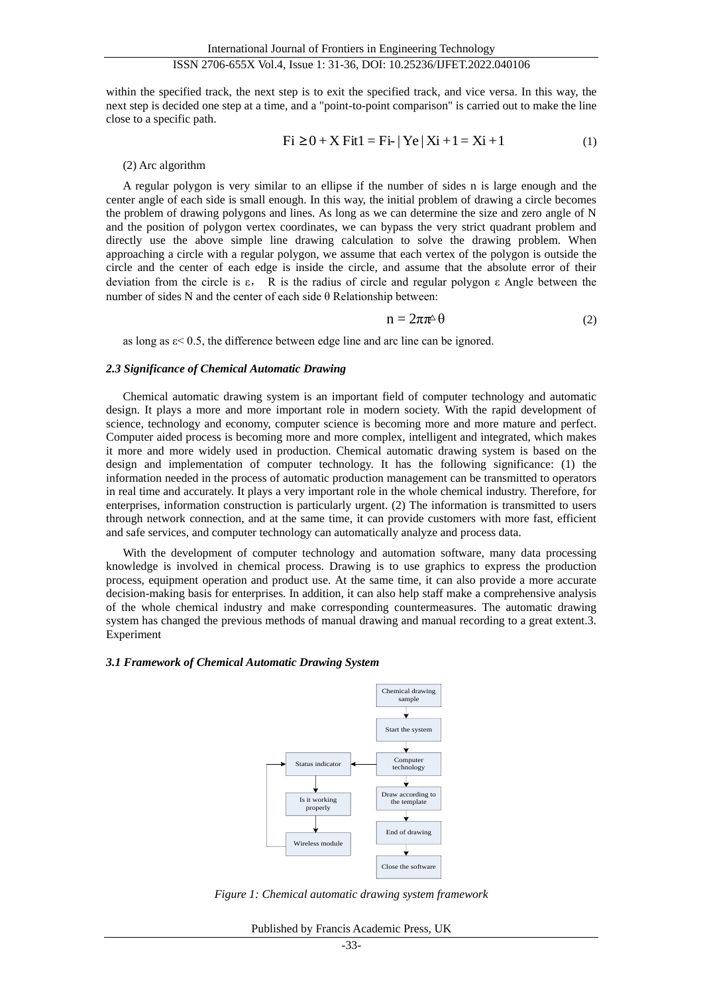within the specified track, the next step is to exit the specified track, and vice versa. In this way, the next step is decided one step at a time, and a "point-to-point comparison" is carried out to make the line close to a specific path.

Fi ≥0 <sup>+</sup> X Fit1 <sup>=</sup> Fi-| Ye | Xi +1= Xi +1 (1)

#### (2) Arc algorithm

A regular polygon is very similar to an ellipse if the number of sides n is large enough and the center angle of each side is small enough. In this way, the initial problem of drawing a circle becomes the problem of drawing polygons and lines. As long as we can determine the size and zero angle of N and the position of polygon vertex coordinates, we can bypass the very strict quadrant problem and directly use the above simple line drawing calculation to solve the drawing problem. When approaching a circle with a regular polygon, we assume that each vertex of the polygon is outside the circle and the center of each edge is inside the circle, and assume that the absolute error of their deviation from the circle is ε, R is the radius of circle and regular polygon ε Angle between the number of sides N and the center of each side  $\theta$  Relationship between:

$$
n = 2\pi \pi^{\Delta} \theta \tag{2}
$$

as long as ε< 0.5, the difference between edge line and arc line can be ignored.

## *2.3 Significance of Chemical Automatic Drawing*

Chemical automatic drawing system is an important field of computer technology and automatic design. It plays a more and more important role in modern society. With the rapid development of science, technology and economy, computer science is becoming more and more mature and perfect. Computer aided process is becoming more and more complex, intelligent and integrated, which makes it more and more widely used in production. Chemical automatic drawing system is based on the design and implementation of computer technology. It has the following significance: (1) the information needed in the process of automatic production management can be transmitted to operators in real time and accurately. It plays a very important role in the whole chemical industry. Therefore, for enterprises, information construction is particularly urgent. (2) The information is transmitted to users through network connection, and at the same time, it can provide customers with more fast, efficient and safe services, and computer technology can automatically analyze and process data.

With the development of computer technology and automation software, many data processing knowledge is involved in chemical process. Drawing is to use graphics to express the production process, equipment operation and product use. At the same time, it can also provide a more accurate decision-making basis for enterprises. In addition, it can also help staff make a comprehensive analysis of the whole chemical industry and make corresponding countermeasures. The automatic drawing system has changed the previous methods of manual drawing and manual recording to a great extent.3. Experiment

#### *3.1 Framework of Chemical Automatic Drawing System*



*Figure 1: Chemical automatic drawing system framework*

Published by Francis Academic Press, UK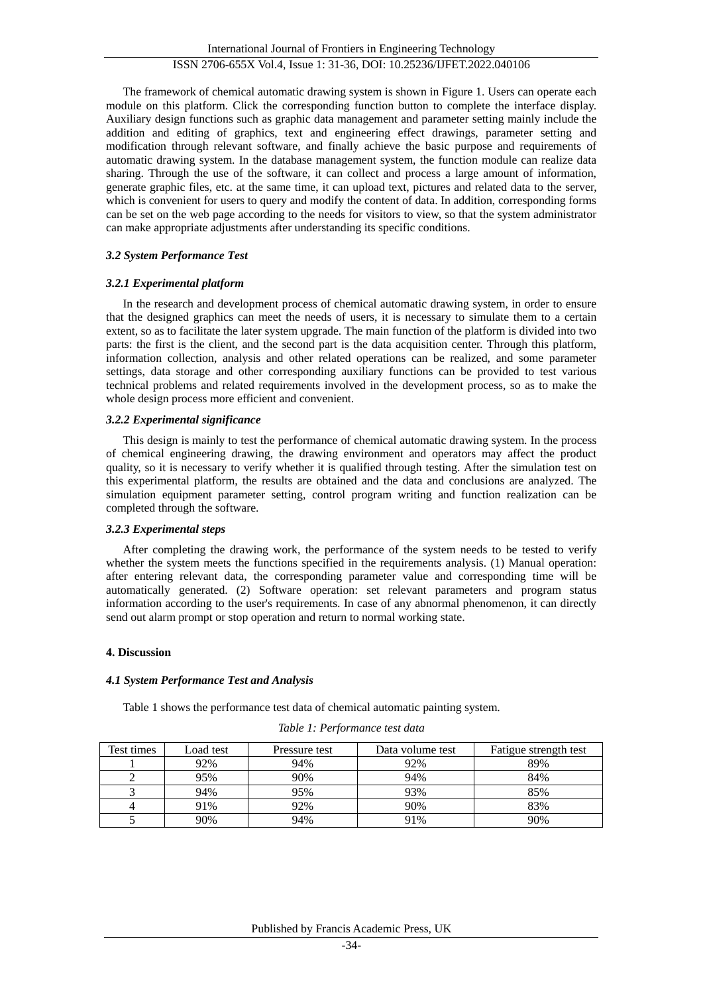The framework of chemical automatic drawing system is shown in Figure 1. Users can operate each module on this platform. Click the corresponding function button to complete the interface display. Auxiliary design functions such as graphic data management and parameter setting mainly include the addition and editing of graphics, text and engineering effect drawings, parameter setting and modification through relevant software, and finally achieve the basic purpose and requirements of automatic drawing system. In the database management system, the function module can realize data sharing. Through the use of the software, it can collect and process a large amount of information, generate graphic files, etc. at the same time, it can upload text, pictures and related data to the server, which is convenient for users to query and modify the content of data. In addition, corresponding forms can be set on the web page according to the needs for visitors to view, so that the system administrator can make appropriate adjustments after understanding its specific conditions.

## *3.2 System Performance Test*

## *3.2.1 Experimental platform*

In the research and development process of chemical automatic drawing system, in order to ensure that the designed graphics can meet the needs of users, it is necessary to simulate them to a certain extent, so as to facilitate the later system upgrade. The main function of the platform is divided into two parts: the first is the client, and the second part is the data acquisition center. Through this platform, information collection, analysis and other related operations can be realized, and some parameter settings, data storage and other corresponding auxiliary functions can be provided to test various technical problems and related requirements involved in the development process, so as to make the whole design process more efficient and convenient.

## *3.2.2 Experimental significance*

This design is mainly to test the performance of chemical automatic drawing system. In the process of chemical engineering drawing, the drawing environment and operators may affect the product quality, so it is necessary to verify whether it is qualified through testing. After the simulation test on this experimental platform, the results are obtained and the data and conclusions are analyzed. The simulation equipment parameter setting, control program writing and function realization can be completed through the software.

## *3.2.3 Experimental steps*

After completing the drawing work, the performance of the system needs to be tested to verify whether the system meets the functions specified in the requirements analysis. (1) Manual operation: after entering relevant data, the corresponding parameter value and corresponding time will be automatically generated. (2) Software operation: set relevant parameters and program status information according to the user's requirements. In case of any abnormal phenomenon, it can directly send out alarm prompt or stop operation and return to normal working state.

## **4. Discussion**

## *4.1 System Performance Test and Analysis*

Table 1 shows the performance test data of chemical automatic painting system.

| Test times | Load test | Pressure test | Data volume test | Fatigue strength test |
|------------|-----------|---------------|------------------|-----------------------|
|            | 92%       | 94%           | 92%              | 89%                   |
|            | 95%       | 90%           | 94%              | 84%                   |
|            | 94%       | 95%           | 93%              | 85%                   |
|            | 91%       | 92%           | 90%              | 83%                   |
|            | 90%       | 94%           | 91%              | 90%                   |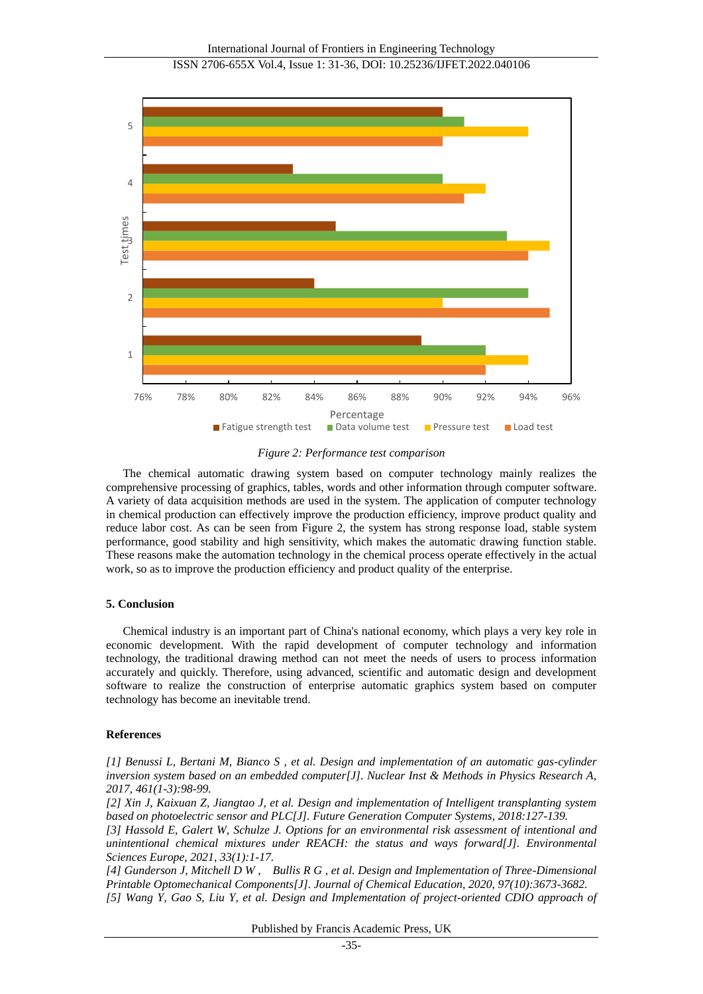

*Figure 2: Performance test comparison*

The chemical automatic drawing system based on computer technology mainly realizes the comprehensive processing of graphics, tables, words and other information through computer software. A variety of data acquisition methods are used in the system. The application of computer technology in chemical production can effectively improve the production efficiency, improve product quality and reduce labor cost. As can be seen from Figure 2, the system has strong response load, stable system performance, good stability and high sensitivity, which makes the automatic drawing function stable. These reasons make the automation technology in the chemical process operate effectively in the actual work, so as to improve the production efficiency and product quality of the enterprise.

## **5. Conclusion**

Chemical industry is an important part of China's national economy, which plays a very key role in economic development. With the rapid development of computer technology and information technology, the traditional drawing method can not meet the needs of users to process information accurately and quickly. Therefore, using advanced, scientific and automatic design and development software to realize the construction of enterprise automatic graphics system based on computer technology has become an inevitable trend.

#### **References**

*[1] Benussi L, Bertani M, Bianco S , et al. Design and implementation of an automatic gas-cylinder inversion system based on an embedded computer[J]. Nuclear Inst & Methods in Physics Research A, 2017, 461(1-3):98-99.*

*[2] Xin J, Kaixuan Z, Jiangtao J, et al. Design and implementation of Intelligent transplanting system based on photoelectric sensor and PLC[J]. Future Generation Computer Systems, 2018:127-139.*

*[3] Hassold E, Galert W, Schulze J. Options for an environmental risk assessment of intentional and unintentional chemical mixtures under REACH: the status and ways forward[J]. Environmental Sciences Europe, 2021, 33(1):1-17.*

*[4] Gunderson J, Mitchell D W , Bullis R G , et al. Design and Implementation of Three-Dimensional Printable Optomechanical Components[J]. Journal of Chemical Education, 2020, 97(10):3673-3682. [5] Wang Y, Gao S, Liu Y, et al. Design and Implementation of project-oriented CDIO approach of* 

Published by Francis Academic Press, UK